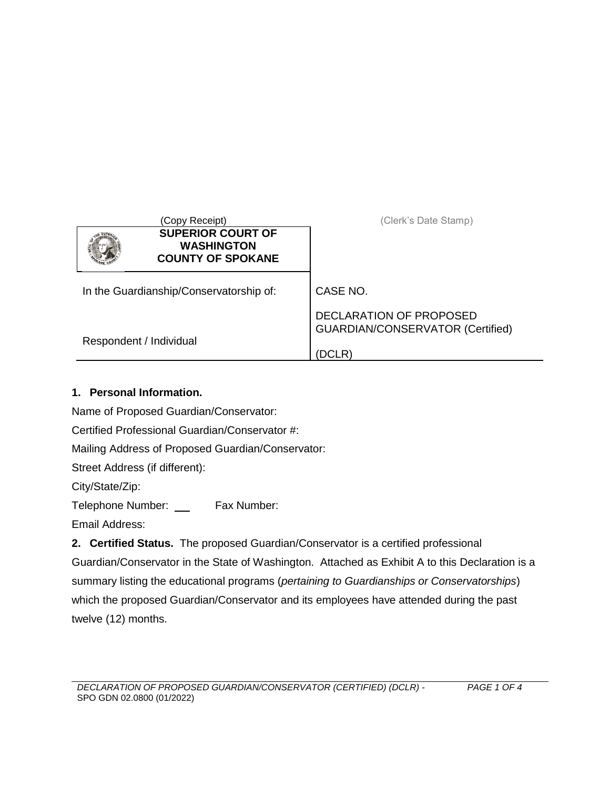|                                         | (Copy Receipt)                                                            | (Clerk's Date Stamp)                                               |
|-----------------------------------------|---------------------------------------------------------------------------|--------------------------------------------------------------------|
|                                         | <b>SUPERIOR COURT OF</b><br><b>WASHINGTON</b><br><b>COUNTY OF SPOKANE</b> |                                                                    |
| In the Guardianship/Conservatorship of: |                                                                           | CASE NO.                                                           |
|                                         |                                                                           | DECLARATION OF PROPOSED<br><b>GUARDIAN/CONSERVATOR (Certified)</b> |
| Respondent / Individual                 |                                                                           | (DCLR)                                                             |

## **1. Personal Information.**

Name of Proposed Guardian/Conservator:

Certified Professional Guardian/Conservator #:

Mailing Address of Proposed Guardian/Conservator:

Street Address (if different):

City/State/Zip:

Telephone Number: Fax Number:

Email Address:

**2. Certified Status.** The proposed Guardian/Conservator is a certified professional Guardian/Conservator in the State of Washington. Attached as Exhibit A to this Declaration is a summary listing the educational programs (*pertaining to Guardianships or Conservatorships*) which the proposed Guardian/Conservator and its employees have attended during the past twelve (12) months.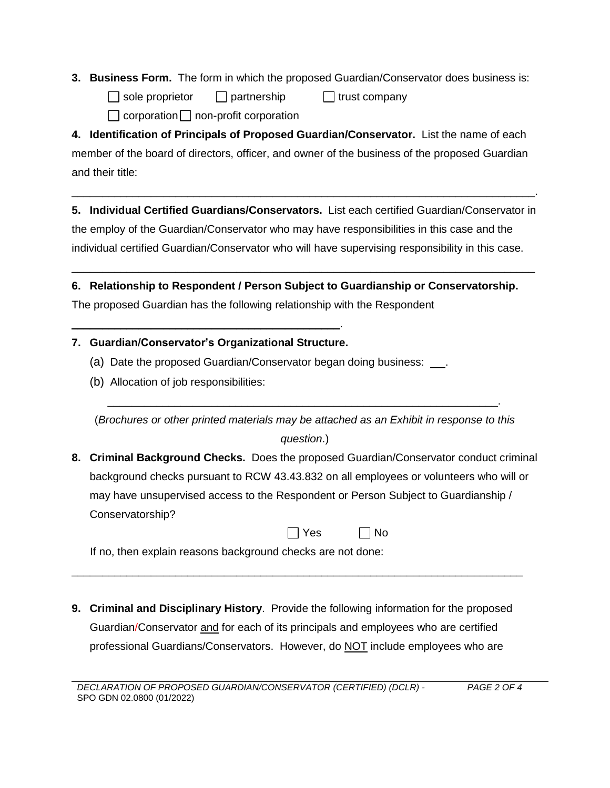- **3. Business Form.** The form in which the proposed Guardian/Conservator does business is:
	- $\Box$  sole proprietor  $\Box$  partnership  $\Box$  trust company
		- $\Box$  corporation  $\Box$  non-profit corporation

**4. Identification of Principals of Proposed Guardian/Conservator.** List the name of each member of the board of directors, officer, and owner of the business of the proposed Guardian and their title:

**5. Individual Certified Guardians/Conservators.** List each certified Guardian/Conservator in the employ of the Guardian/Conservator who may have responsibilities in this case and the individual certified Guardian/Conservator who will have supervising responsibility in this case.

 $\mathcal{L}_\mathcal{L} = \mathcal{L}_\mathcal{L} = \mathcal{L}_\mathcal{L} = \mathcal{L}_\mathcal{L} = \mathcal{L}_\mathcal{L} = \mathcal{L}_\mathcal{L} = \mathcal{L}_\mathcal{L} = \mathcal{L}_\mathcal{L} = \mathcal{L}_\mathcal{L} = \mathcal{L}_\mathcal{L} = \mathcal{L}_\mathcal{L} = \mathcal{L}_\mathcal{L} = \mathcal{L}_\mathcal{L} = \mathcal{L}_\mathcal{L} = \mathcal{L}_\mathcal{L} = \mathcal{L}_\mathcal{L} = \mathcal{L}_\mathcal{L}$ 

\_\_\_\_\_\_\_\_\_\_\_\_\_\_\_\_\_\_\_\_\_\_\_\_\_\_\_\_\_\_\_\_\_\_\_\_\_\_\_\_\_\_\_\_\_\_\_\_\_\_\_\_\_\_\_\_\_\_\_\_\_\_\_\_\_\_\_\_\_\_\_\_\_\_\_\_.

**6. Relationship to Respondent / Person Subject to Guardianship or Conservatorship.** The proposed Guardian has the following relationship with the Respondent

## **7. Guardian/Conservator's Organizational Structure.**

\_\_\_\_\_\_\_\_\_\_\_\_\_\_\_\_\_\_\_\_\_\_\_\_\_\_\_\_\_\_\_\_\_\_\_\_\_\_\_\_\_\_\_\_.

- (a) Date the proposed Guardian/Conservator began doing business: ...
- (b) Allocation of job responsibilities:

(*Brochures or other printed materials may be attached as an Exhibit in response to this question*.)

\_\_\_\_\_\_\_\_\_\_\_\_\_\_\_\_\_\_\_\_\_\_\_\_\_\_\_\_\_\_\_\_\_\_\_\_\_\_\_\_\_\_\_\_\_\_\_\_\_\_\_\_\_\_\_\_\_\_\_\_\_\_\_\_.

**8. Criminal Background Checks.** Does the proposed Guardian/Conservator conduct criminal background checks pursuant to RCW 43.43.832 on all employees or volunteers who will or may have unsupervised access to the Respondent or Person Subject to Guardianship / Conservatorship?

 $\Box$  No

If no, then explain reasons background checks are not done:

**9. Criminal and Disciplinary History**. Provide the following information for the proposed Guardian/Conservator and for each of its principals and employees who are certified professional Guardians/Conservators. However, do NOT include employees who are

\_\_\_\_\_\_\_\_\_\_\_\_\_\_\_\_\_\_\_\_\_\_\_\_\_\_\_\_\_\_\_\_\_\_\_\_\_\_\_\_\_\_\_\_\_\_\_\_\_\_\_\_\_\_\_\_\_\_\_\_\_\_\_\_\_\_\_\_\_\_\_\_\_\_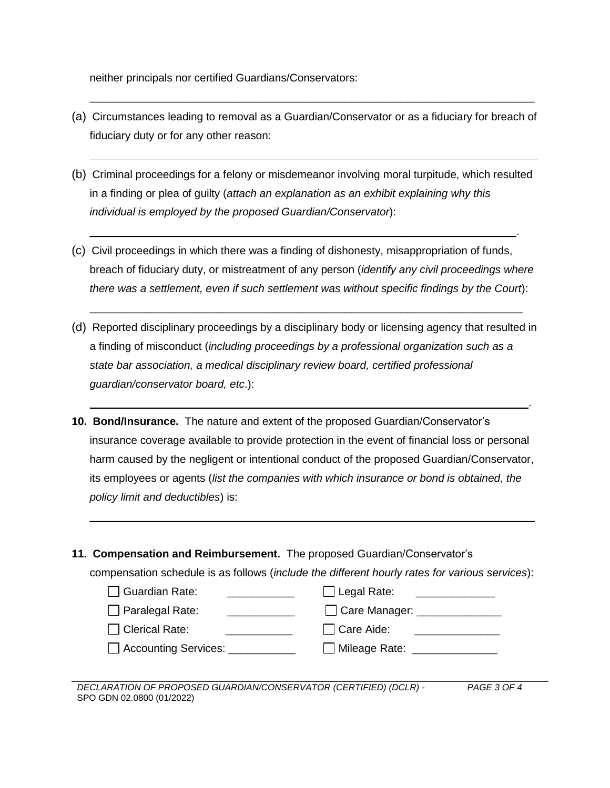neither principals nor certified Guardians/Conservators:

(a) Circumstances leading to removal as a Guardian/Conservator or as a fiduciary for breach of fiduciary duty or for any other reason:

\_\_\_\_\_\_\_\_\_\_\_\_\_\_\_\_\_\_\_\_\_\_\_\_\_\_\_\_\_\_\_\_\_\_\_\_\_\_\_\_\_\_\_\_\_\_\_\_\_\_\_\_\_\_\_\_\_\_\_\_\_\_\_\_\_\_\_\_\_\_\_\_\_

(b) Criminal proceedings for a felony or misdemeanor involving moral turpitude, which resulted in a finding or plea of guilty (*attach an explanation as an exhibit explaining why this individual is employed by the proposed Guardian/Conservator*):

\_\_\_\_\_\_\_\_\_\_\_\_\_\_\_\_\_\_\_\_\_\_\_\_\_\_\_\_\_\_\_\_\_\_\_\_\_\_\_\_\_\_\_\_\_\_\_\_\_\_\_\_\_\_\_\_\_\_\_\_\_\_\_\_\_\_\_\_\_\_.

(c) Civil proceedings in which there was a finding of dishonesty, misappropriation of funds, breach of fiduciary duty, or mistreatment of any person (*identify any civil proceedings where there was a settlement, even if such settlement was without specific findings by the Court*):

\_\_\_\_\_\_\_\_\_\_\_\_\_\_\_\_\_\_\_\_\_\_\_\_\_\_\_\_\_\_\_\_\_\_\_\_\_\_\_\_\_\_\_\_\_\_\_\_\_\_\_\_\_\_\_\_\_\_\_\_\_\_\_\_\_\_\_\_\_\_\_

(d) Reported disciplinary proceedings by a disciplinary body or licensing agency that resulted in a finding of misconduct (*including proceedings by a professional organization such as a state bar association, a medical disciplinary review board, certified professional guardian/conservator board, etc*.):

 $\_$  , and the set of the set of the set of the set of the set of the set of the set of the set of the set of the set of the set of the set of the set of the set of the set of the set of the set of the set of the set of th

- **10. Bond/Insurance.** The nature and extent of the proposed Guardian/Conservator's insurance coverage available to provide protection in the event of financial loss or personal harm caused by the negligent or intentional conduct of the proposed Guardian/Conservator, its employees or agents (*list the companies with which insurance or bond is obtained, the policy limit and deductibles*) is:
- **11. Compensation and Reimbursement.** The proposed Guardian/Conservator's

compensation schedule is as follows (*include the different hourly rates for various services*):

 $\mathcal{L}_\mathcal{L} = \{ \mathcal{L}_\mathcal{L} = \{ \mathcal{L}_\mathcal{L} = \{ \mathcal{L}_\mathcal{L} = \{ \mathcal{L}_\mathcal{L} = \{ \mathcal{L}_\mathcal{L} = \{ \mathcal{L}_\mathcal{L} = \{ \mathcal{L}_\mathcal{L} = \{ \mathcal{L}_\mathcal{L} = \{ \mathcal{L}_\mathcal{L} = \{ \mathcal{L}_\mathcal{L} = \{ \mathcal{L}_\mathcal{L} = \{ \mathcal{L}_\mathcal{L} = \{ \mathcal{L}_\mathcal{L} = \{ \mathcal{L}_\mathcal{$ 

| □ Guardian Rate:             | $\Box$ Legal Rate: |
|------------------------------|--------------------|
| $\Box$ Paralegal Rate:       | Care Manager:      |
| $\Box$ Clerical Rate:        | $\Box$ Care Aide:  |
| Accounting Services: _______ | □ Mileage Rate:    |